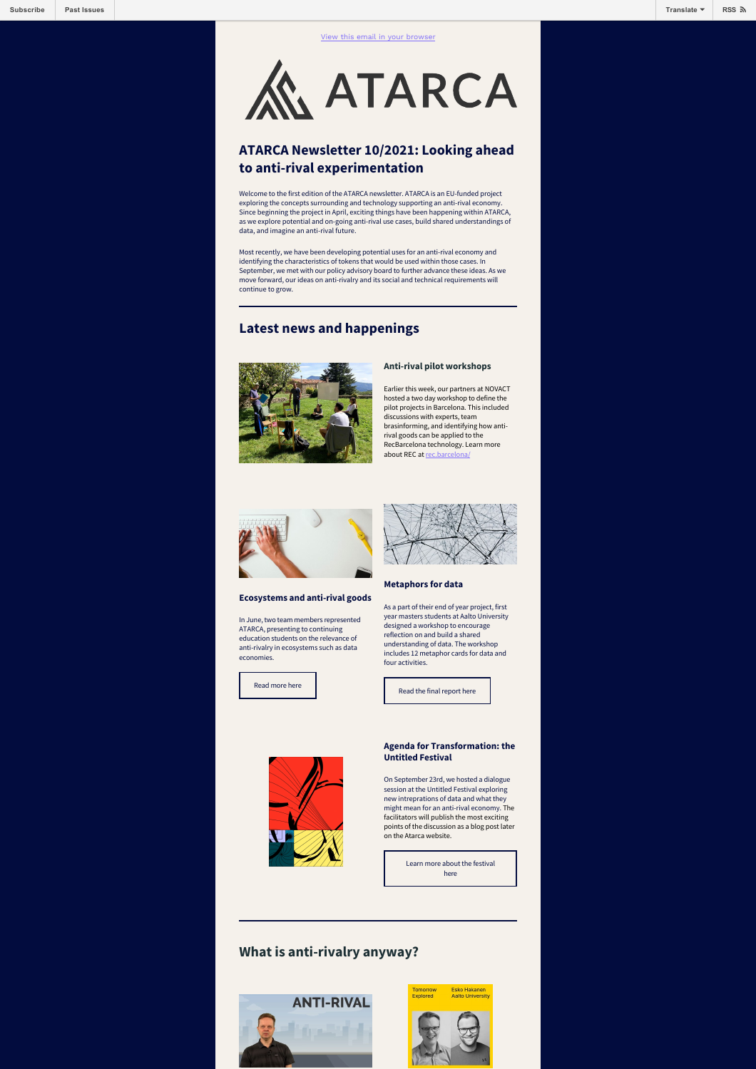

# **ATARCA Newsletter 10/2021: Looking ahead to anti-rival experimentation**

Welcome to the first edition of the ATARCA newsletter. ATARCA is an EU-funded project exploring the concepts surrounding and technology supporting an anti-rival economy. Since beginning the project in April, exciting things have been happening within ATARCA, as we explore potential and on-going anti-rival use cases, build shared understandings of data, and imagine an anti-rival future.

Most recently, we have been developing potential uses for an anti-rival economy and identifying the characteristics of tokens that would be used within those cases. In September, we met with our policy advisory board to further advance these ideas. As we move forward, our ideas on anti-rivalry and its social and technical requirements will continue to grow.

# **Latest news and happenings**



#### **Anti-rival pilot workshops**

Earlier this week, our partners at NOVACT hosted a two day workshop to define the pilot projects in Barcelona. This included discussions with experts, team brasinforming, and identifying how anti-rival goods can be applied to the RecBarcelona technology. Learn more about REC at rec.bard



#### **Ecosystems and anti-rival goods**

In June, two team members represented ATARCA, presenting to continuing education students on the relevance of anti-rivalry in ecosystems such as data economies.



#### **Metaphors for data**

As a part of their end of year project, first year masters students at Aalto University designed a workshop to encourage reflection on and build a shared understanding of data. The workshop includes 12 metaphor cards for data and four activities.

[Read more here](https://atarca.eu/ecosystems-and-anti-rival-goods-continuous-education/) [Read the final report here](https://atarca.eu/metaphors-for-data-workshop-to-understand-data/)



#### **Agenda for Transformation: the Untitled Festival**

On September 23rd, we hosted a dialogue session at the Untitled Festival exploring new intreprations of data and what they might mean for an anti-rival economy. The facilitators will publish the most exciting points of the discussion as a blog post later on the Atarca website.

> [Learn more about the festival](https://untitled.community/) here

# **What is anti-rivalry anyway?**



# Esko Hakanen<br>Aalto Universit Explored

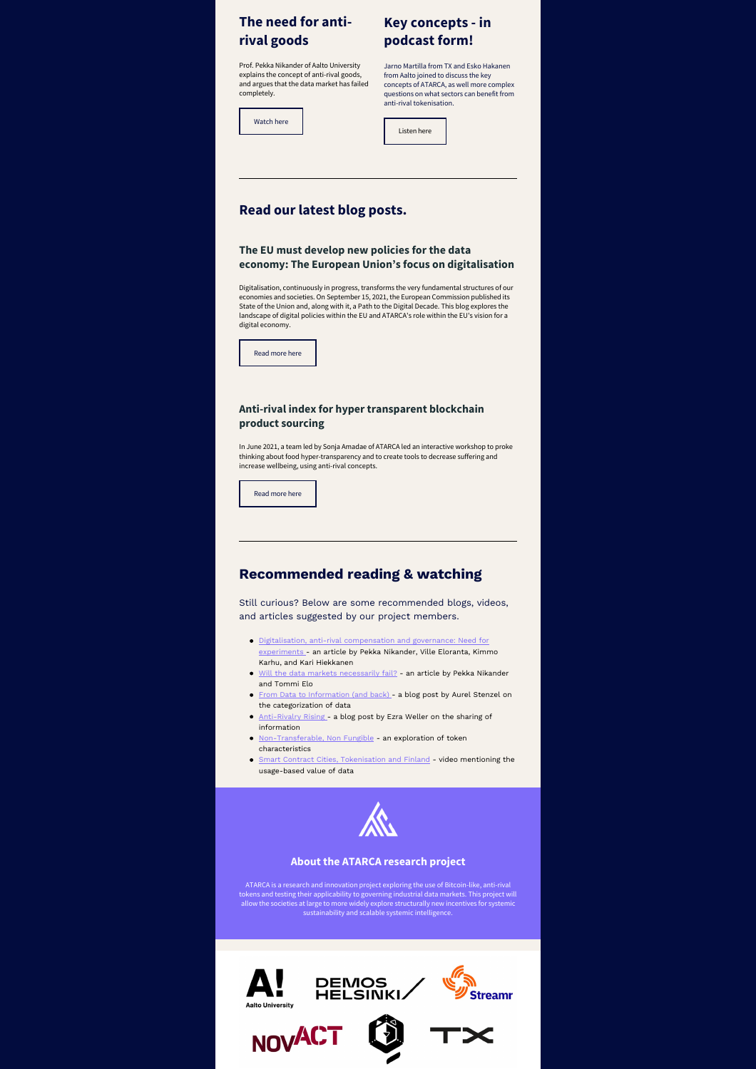# **The need for antirival goods**

# **podcast form!**

Prof. Pekka Nikander of Aalto University explains the concept of anti-rival goods, and argues that the data market has failed completely.

[Watch here](https://player.vimeo.com/video/320733341)

Jarno Martilla from TX and Esko Hakanen from Aalto joined to discuss the key concepts of ATARCA, as well more complex questions on what sectors can benefit from anti-rival tokenisation.

**Key concepts - in**

[Listen here](https://tx.company/blog/tx-podcast-creating-anti-rival-tokens-for-added-collaboration-and-sharing-in-atarca/)

## **Read our latest blog posts.**

#### **The EU must develop new policies for the data economy: The European Union's focus on digitalisation**

Digitalisation, continuously in progress, transforms the very fundamental structures of our economies and societies. On September 15, 2021, the European Commission published its State of the Union and, along with it, a Path to the Digital Decade. This blog explores the landscape of digital policies within the EU and ATARCA's role within the EU's vision for a digital economy.



### **Anti-rival index for hyper transparent blockchain product sourcing**

In June 2021, a team led by Sonja Amadae of ATARCA led an interactive workshop to proke thinking about food hyper-transparency and to create tools to decrease suffering and increase wellbeing, using anti-rival concepts.

[Read more here](https://atarca.eu/anti-rival-index-for-hyper-transparent-blockchain-product-sourcing/)

## **Recommended reading & watching**

Still curious? Below are some recommended blogs, videos, and articles suggested by our project members.

- [Digitalisation, anti-rival compensation and governance: Need for](https://research.aalto.fi/en/publications/digitalisation-anti-rival-compensation-and-governance-need-for-ex) experiments - an article by Pekka Nikander, Ville Eloranta, Kimmo Karhu, and Kari Hiekkanen
- [Will the data markets necessarily fail?](https://aaltodoc.aalto.fi/handle/123456789/39715)  an article by Pekka Nikander and Tommi Elo
- [From Data to Information \(and back\)](https://medium.com/frctls/from-data-to-information-and-back-7519b232d489)  a blog post by Aurel Stenzel on the categorization of data
- [Anti-Rivalry Rising -](https://medium.com/ezras-wellspring/https-medium-com-m0zrat-anti-rivalry-rising-2351a957a7ca) a blog post by Ezra Weller on the sharing of information
- [Non-Transferable, Non Fungible](https://razodin.com/2021/04/05/non-transferable-non-fungible/) an exploration of token characteristics
- [Smart Contract Cities, Tokenisation and Finland](https://www.youtube.com/watch?v=xqIc3hhla9w)  video mentioning the usage-based value of data



#### **About the ATARCA research project**

ATARCA is a research and innovation project exploring the use of Bitcoin-like, anti-rival tokens and testing their applicability to governing industrial data markets. This project will<br>allow the societies at large to more widely explore structurally new incentives for systemic<br>allow the societies at sustainabil